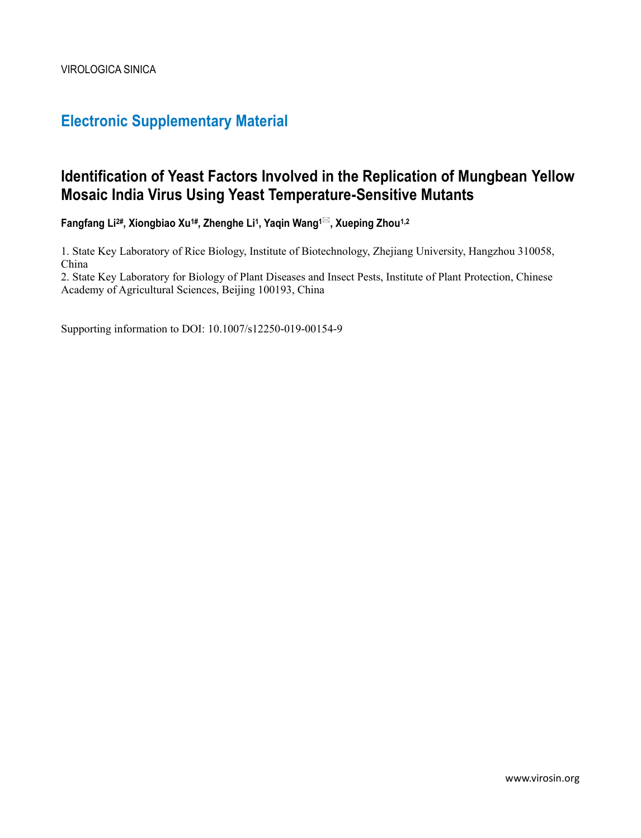# **Electronic Supplementary Material**

# **Identification of Yeast Factors Involved in the Replication of Mungbean Yellow Mosaic India Virus Using Yeast Temperature-Sensitive Mutants**

**Fangfang Li2#, Xiongbiao Xu1#, Zhenghe Li<sup>1</sup> , Yaqin Wang1, Xueping Zhou1,2**

1. State Key Laboratory of Rice Biology, Institute of Biotechnology, Zhejiang University, Hangzhou 310058, China

2. State Key Laboratory for Biology of Plant Diseases and Insect Pests, Institute of Plant Protection, Chinese Academy of Agricultural Sciences, Beijing 100193, China

Supporting information to DOI: 10.1007/s12250-019-00154-9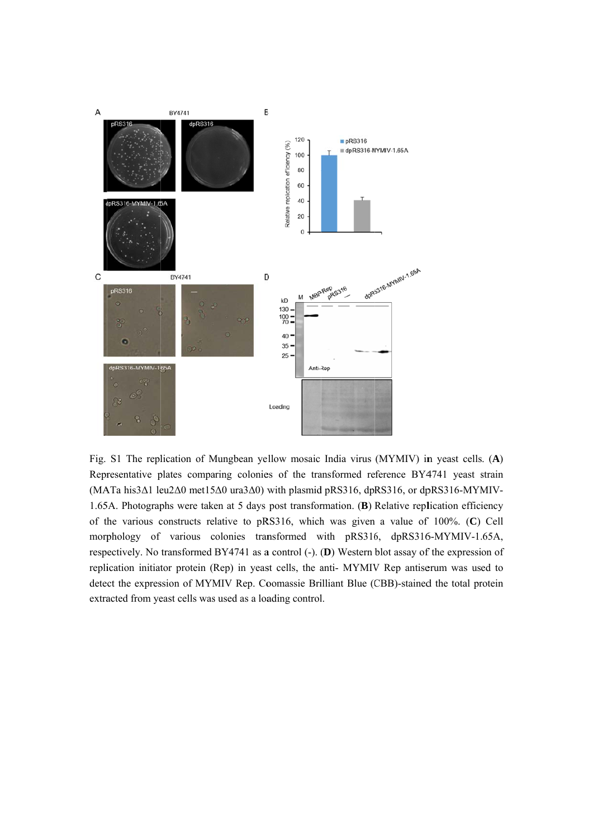

Fig. S1 The replication of Mungbean yellow mosaic India virus (MYMIV) in yeast cells. (A) Representative plates comparing colonies of the transformed reference BY4741 yeast strain (MATa his 3Δ1 leu 2Δ0 met 15Δ0 ura 3Δ0) with plasmid pRS316, dpRS316, or dpRS316-MYMIV-1.65A. Photographs were taken at 5 days post transformation. (B) Relative replication efficiency of the various constructs relative to pRS316, which was given a value of 100%. (C) Cell morphology of various colonies transformed with pRS316, dpRS316-MYMIV-1.65A, respectively. No transformed BY4741 as a control (-). (D) Western blot assay of the expression of replication initiator protein (Rep) in yeast cells, the anti- MYMIV Rep antiserum was used to detect the expression of MYMIV Rep. Coomassie Brilliant Blue (CBB)-stained the total protein extracted from yeast cells was used as a loading control.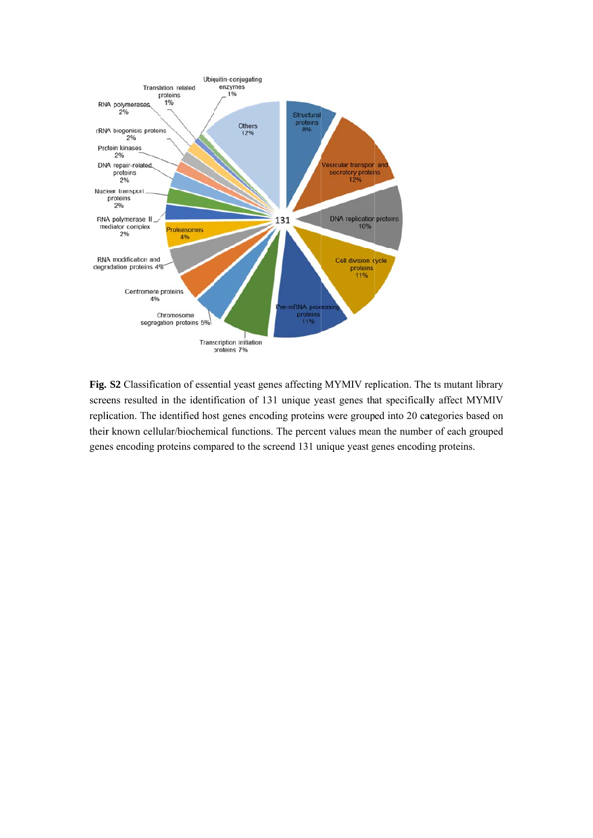

Fig. S2 Classification of essential yeast genes affecting MYMIV replication. The ts mutant library screens resulted in the identification of 131 unique yeast genes that specifically affect MYMIV replication. The identified host genes encoding proteins were grouped into 20 categories based on their known cellular/biochemical functions. The percent values mean the number of each grouped genes encoding proteins compared to the screend 131 unique yeast genes encoding proteins.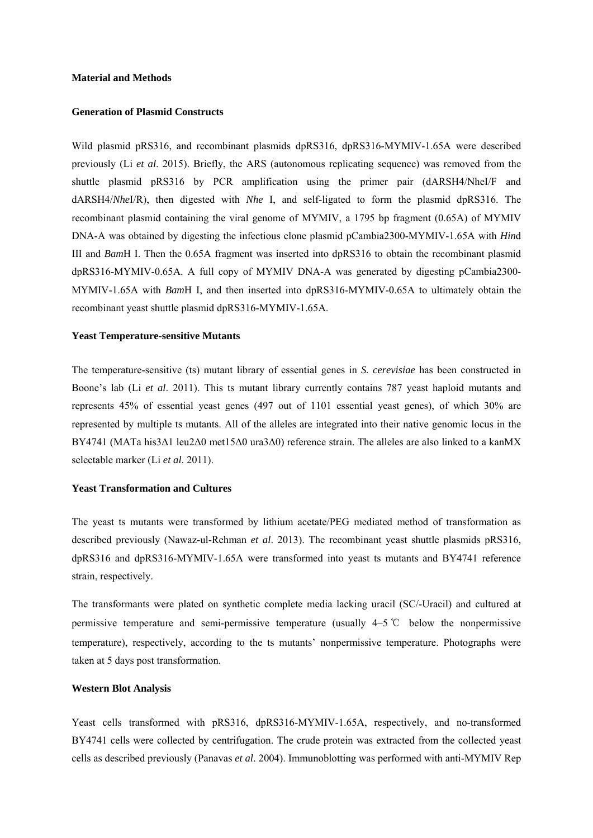#### **Material and Methods**

#### **Generation of Plasmid Constructs**

Wild plasmid pRS316, and recombinant plasmids dpRS316, dpRS316-MYMIV-1.65A were described previously (Li *et al*. 2015). Briefly, the ARS (autonomous replicating sequence) was removed from the shuttle plasmid pRS316 by PCR amplification using the primer pair (dARSH4/NheI/F and dARSH4/*Nhe*I/R), then digested with *Nhe* I, and self-ligated to form the plasmid dpRS316. The recombinant plasmid containing the viral genome of MYMIV, a 1795 bp fragment (0.65A) of MYMIV DNA-A was obtained by digesting the infectious clone plasmid pCambia2300-MYMIV-1.65A with *Hin*d III and *Bam*H I. Then the 0.65A fragment was inserted into dpRS316 to obtain the recombinant plasmid dpRS316-MYMIV-0.65A. A full copy of MYMIV DNA-A was generated by digesting pCambia2300- MYMIV-1.65A with *Bam*H I, and then inserted into dpRS316-MYMIV-0.65A to ultimately obtain the recombinant yeast shuttle plasmid dpRS316-MYMIV-1.65A.

#### **Yeast Temperature-sensitive Mutants**

The temperature-sensitive (ts) mutant library of essential genes in *S. cerevisiae* has been constructed in Boone's lab (Li *et al*. 2011). This ts mutant library currently contains 787 yeast haploid mutants and represents 45% of essential yeast genes (497 out of 1101 essential yeast genes), of which 30% are represented by multiple ts mutants. All of the alleles are integrated into their native genomic locus in the BY4741 (MATa his3Δ1 leu2Δ0 met15Δ0 ura3Δ0) reference strain. The alleles are also linked to a kanMX selectable marker (Li *et al*. 2011).

### **Yeast Transformation and Cultures**

The yeast ts mutants were transformed by lithium acetate/PEG mediated method of transformation as described previously (Nawaz-ul-Rehman *et al*. 2013). The recombinant yeast shuttle plasmids pRS316, dpRS316 and dpRS316-MYMIV-1.65A were transformed into yeast ts mutants and BY4741 reference strain, respectively.

The transformants were plated on synthetic complete media lacking uracil (SC/-Uracil) and cultured at permissive temperature and semi-permissive temperature (usually 4–5 ℃ below the nonpermissive temperature), respectively, according to the ts mutants' nonpermissive temperature. Photographs were taken at 5 days post transformation.

### **Western Blot Analysis**

Yeast cells transformed with pRS316, dpRS316-MYMIV-1.65A, respectively, and no-transformed BY4741 cells were collected by centrifugation. The crude protein was extracted from the collected yeast cells as described previously (Panavas *et al*. 2004). Immunoblotting was performed with anti-MYMIV Rep